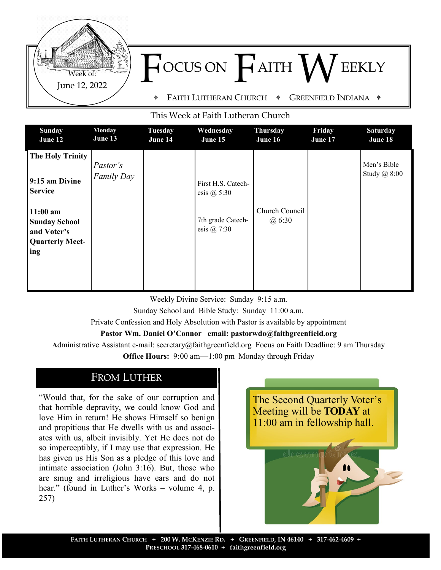

#### This Week at Faith Lutheran Church

| <b>Sunday</b><br>June 12                                            | Monday<br>June 13      | <b>Tuesday</b><br>June 14 | Wednesday<br>June 15                                     | <b>Thursday</b><br>June 16 | Friday<br>June 17 | <b>Saturday</b><br>June 18  |
|---------------------------------------------------------------------|------------------------|---------------------------|----------------------------------------------------------|----------------------------|-------------------|-----------------------------|
| <b>The Holy Trinity</b><br>9:15 am Divine                           | Pastor's<br>Family Day |                           | First H.S. Catech-                                       |                            |                   | Men's Bible<br>Study @ 8:00 |
| <b>Service</b><br>$11:00$ am<br><b>Sunday School</b><br>and Voter's |                        |                           | esis $@$ 5:30<br>7th grade Catech-<br>esis $\omega$ 7:30 | Church Council<br>@6:30    |                   |                             |
| <b>Quarterly Meet-</b><br>ing                                       |                        |                           |                                                          |                            |                   |                             |

Weekly Divine Service: Sunday 9:15 a.m. Sunday School and Bible Study: Sunday 11:00 a.m. Private Confession and Holy Absolution with Pastor is available by appointment **Pastor Wm. Daniel O'Connor email: pastorwdo@faithgreenfield.org**

**A**dministrative Assistant e-mail: secretary@faithgreenfield.org Focus on Faith Deadline: 9 am Thursday

**Office Hours:** 9:00 am—1:00 pm Monday through Friday

# FROM LUTHER

"Would that, for the sake of our corruption and that horrible depravity, we could know God and love Him in return! He shows Himself so benign and propitious that He dwells with us and associates with us, albeit invisibly. Yet He does not do so imperceptibly, if I may use that expression. He has given us His Son as a pledge of this love and intimate association (John 3:16). But, those who are smug and irreligious have ears and do not hear." (found in Luther's Works – volume 4, p. 257)

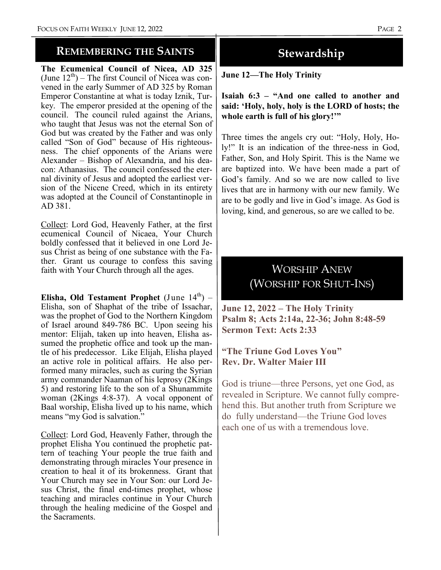### **REMEMBERING THE SAINTS**

**The Ecumenical Council of Nicea, AD 325**  (June  $12<sup>th</sup>$ ) – The first Council of Nicea was convened in the early Summer of AD 325 by Roman Emperor Constantine at what is today Iznik, Turkey. The emperor presided at the opening of the council. The council ruled against the Arians, who taught that Jesus was not the eternal Son of God but was created by the Father and was only called "Son of God" because of His righteousness. The chief opponents of the Arians were Alexander – Bishop of Alexandria, and his deacon: Athanasius. The council confessed the eternal divinity of Jesus and adopted the earliest version of the Nicene Creed, which in its entirety was adopted at the Council of Constantinople in AD 381.

Collect: Lord God, Heavenly Father, at the first ecumenical Council of Nicaea, Your Church boldly confessed that it believed in one Lord Jesus Christ as being of one substance with the Father. Grant us courage to confess this saving faith with Your Church through all the ages.

**Elisha, Old Testament Prophet** (June  $14^{th}$ ) – Elisha, son of Shaphat of the tribe of Issachar, was the prophet of God to the Northern Kingdom of Israel around 849-786 BC. Upon seeing his mentor: Elijah, taken up into heaven, Elisha assumed the prophetic office and took up the mantle of his predecessor. Like Elijah, Elisha played an active role in political affairs. He also performed many miracles, such as curing the Syrian army commander Naaman of his leprosy (2Kings 5) and restoring life to the son of a Shunammite woman (2Kings 4:8-37). A vocal opponent of Baal worship, Elisha lived up to his name, which means "my God is salvation."

Collect: Lord God, Heavenly Father, through the prophet Elisha You continued the prophetic pattern of teaching Your people the true faith and demonstrating through miracles Your presence in creation to heal it of its brokenness. Grant that Your Church may see in Your Son: our Lord Jesus Christ, the final end-times prophet, whose teaching and miracles continue in Your Church through the healing medicine of the Gospel and the Sacraments.

# **Stewardship**

**June 12—The Holy Trinity**

**Isaiah 6:3 – "And one called to another and said: 'Holy, holy, holy is the LORD of hosts; the whole earth is full of his glory!'"**

Three times the angels cry out: "Holy, Holy, Holy!" It is an indication of the three-ness in God, Father, Son, and Holy Spirit. This is the Name we are baptized into. We have been made a part of God's family. And so we are now called to live lives that are in harmony with our new family. We are to be godly and live in God's image. As God is loving, kind, and generous, so are we called to be.

# WORSHIP ANEW (WORSHIP FOR SHUT-INS)

**June 12, 2022 – The Holy Trinity Psalm 8; Acts 2:14a, 22-36; John 8:48-59 Sermon Text: Acts 2:33**

#### **"The Triune God Loves You" Rev. Dr. Walter Maier III**

God is triune—three Persons, yet one God, as revealed in Scripture. We cannot fully comprehend this. But another truth from Scripture we do fully understand—the Triune God loves each one of us with a tremendous love.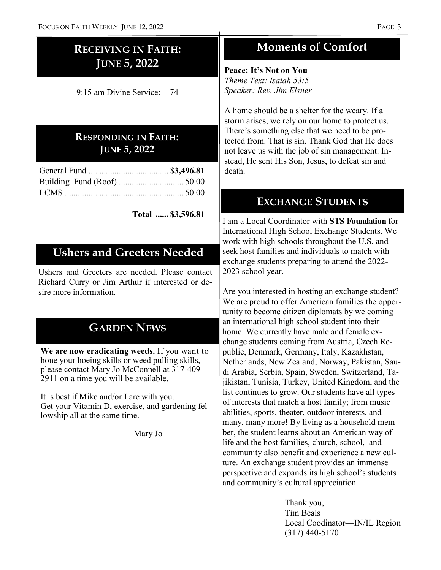# **RECEIVING IN FAITH: JUNE 5, 2022**

9:15 am Divine Service: 74

## **RESPONDING IN FAITH: JUNE 5, 2022**

**Total ...... \$3,596.81**

# **Ushers and Greeters Needed**

Ushers and Greeters are needed. Please contact Richard Curry or Jim Arthur if interested or desire more information.

# **GARDEN NEWS**

**We are now eradicating weeds.** If you want to hone your hoeing skills or weed pulling skills, please contact Mary Jo McConnell at 317-409- 2911 on a time you will be available.

It is best if Mike and/or I are with you. Get your Vitamin D, exercise, and gardening fellowship all at the same time.

Mary Jo

# **Moments of Comfort**

**Peace: It's Not on You** *Theme Text: Isaiah 53:5 Speaker: Rev. Jim Elsner*

A home should be a shelter for the weary. If a storm arises, we rely on our home to protect us. There's something else that we need to be protected from. That is sin. Thank God that He does not leave us with the job of sin management. Instead, He sent His Son, Jesus, to defeat sin and

# **EXCHANGE STUDENTS**

I am a Local Coordinator with **STS Foundation** for International High School Exchange Students. We work with high schools throughout the U.S. and seek host families and individuals to match with exchange students preparing to attend the 2022- 2023 school year.

Are you interested in hosting an exchange student? We are proud to offer American families the opportunity to become citizen diplomats by welcoming an international high school student into their home. We currently have male and female exchange students coming from Austria, Czech Republic, Denmark, Germany, Italy, Kazakhstan, Netherlands, New Zealand, Norway, Pakistan, Saudi Arabia, Serbia, Spain, Sweden, Switzerland, Tajikistan, Tunisia, Turkey, United Kingdom, and the list continues to grow. Our students have all types of interests that match a host family; from music abilities, sports, theater, outdoor interests, and many, many more! By living as a household member, the student learns about an American way of life and the host families, church, school, and community also benefit and experience a new culture. An exchange student provides an immense perspective and expands its high school's students and community's cultural appreciation.

> Thank you, Tim Beals Local Coodinator—IN/IL Region (317) 440-5170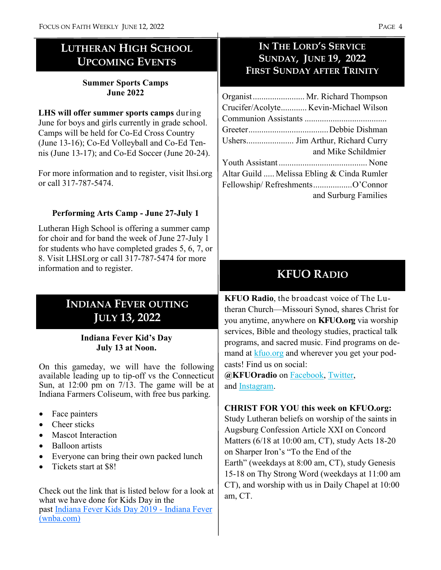# **LUTHERAN HIGH SCHOOL UPCOMING EVENTS**

### **Summer Sports Camps June 2022**

**LHS will offer summer sports camps** during June for boys and girls currently in grade school. Camps will be held for Co-Ed Cross Country (June 13-16); Co-Ed Volleyball and Co-Ed Tennis (June 13-17); and Co-Ed Soccer (June 20-24).

For more information and to register, visit lhsi.org or call 317-787-5474.

### **Performing Arts Camp - June 27-July 1**

Lutheran High School is offering a summer camp for choir and for band the week of June 27-July 1 for students who have completed grades 5, 6, 7, or 8. Visit LHSI.org or call 317-787-5474 for more information and to register.

# **INDIANA FEVER OUTING JULY 13, 2022**

### **Indiana Fever Kid's Day July 13 at Noon.**

On this gameday, we will have the following available leading up to tip-off vs the Connecticut Sun, at 12:00 pm on 7/13. The game will be at Indiana Farmers Coliseum, with free bus parking.

- Face painters
- Cheer sticks
- Mascot Interaction
- Balloon artists
- Everyone can bring their own packed lunch
- Tickets start at \$8!

Check out the link that is listed below for a look at what we have done for Kids Day in the past [Indiana Fever Kids Day 2019](https://nam02.safelinks.protection.outlook.com/?url=https%3A%2F%2Ffever.wnba.com%2Fgroups%2Fkids-day%2F&data=05%7C01%7CCEvans%40PACERS.com%7C13bc102c83744e4cf7ac08da2e064c3b%7C25a1d65179e3465a8d16d790287be72a%7C0%7C0%7C637872901842488920%7CUnknown%7CTWFpbGZsb) - Indiana Fever [\(wnba.com\)](https://nam02.safelinks.protection.outlook.com/?url=https%3A%2F%2Ffever.wnba.com%2Fgroups%2Fkids-day%2F&data=05%7C01%7CCEvans%40PACERS.com%7C13bc102c83744e4cf7ac08da2e064c3b%7C25a1d65179e3465a8d16d790287be72a%7C0%7C0%7C637872901842488920%7CUnknown%7CTWFpbGZsb)

### **IN THE LORD'S SERVICE SUNDAY, JUNE 19, 2022 FIRST SUNDAY AFTER TRINITY**

| Organist Mr. Richard Thompson              |                      |
|--------------------------------------------|----------------------|
| Crucifer/Acolyte Kevin-Michael Wilson      |                      |
|                                            |                      |
|                                            |                      |
| Ushers Jim Arthur, Richard Curry           |                      |
|                                            | and Mike Schildmier  |
|                                            |                      |
| Altar Guild  Melissa Ebling & Cinda Rumler |                      |
| Fellowship/RefreshmentsO'Connor            |                      |
|                                            | and Surburg Families |

# **KFUO RADIO**

**KFUO Radio**, the broadcast voice of The Lutheran Church—Missouri Synod, shares Christ for you anytime, anywhere on **KFUO.org** via worship services, Bible and theology studies, practical talk programs, and sacred music. Find programs on demand at [kfuo.org](https://kfuo.us19.list-manage.com/track/click?u=54af661ed49340a315983cb13&id=fd26688684&e=9fbf9b262b) and wherever you get your podcasts! Find us on social:

**@KFUOradio** on [Facebook,](https://kfuo.us19.list-manage.com/track/click?u=54af661ed49340a315983cb13&id=b928fef4ba&e=9fbf9b262b) [Twitter,](https://kfuo.us19.list-manage.com/track/click?u=54af661ed49340a315983cb13&id=3e9e294abe&e=9fbf9b262b)  and [Instagram.](https://kfuo.us19.list-manage.com/track/click?u=54af661ed49340a315983cb13&id=45a5c39706&e=9fbf9b262b)

### **CHRIST FOR YOU this week on KFUO.org:**

Study Lutheran beliefs on worship of the saints in Augsburg Confession Article XXI on Concord Matters (6/18 at 10:00 am, CT), study Acts 18-20 on Sharper Iron's "To the End of the Earth" (weekdays at 8:00 am, CT), study Genesis 15-18 on Thy Strong Word (weekdays at 11:00 am CT), and worship with us in Daily Chapel at 10:00 am, CT.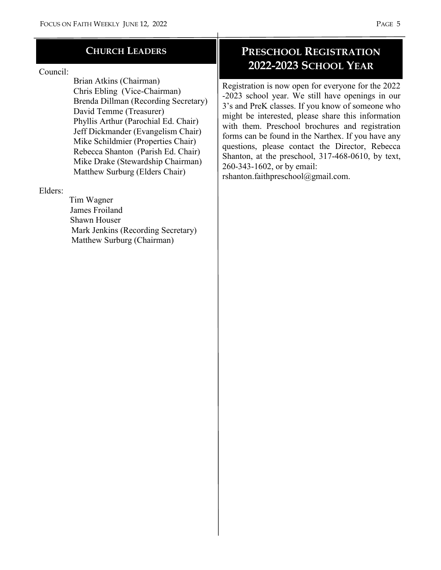#### **CHURCH LEADERS**

#### Council:

 Brian Atkins (Chairman) Chris Ebling (Vice-Chairman) Brenda Dillman (Recording Secretary) David Temme (Treasurer) Phyllis Arthur (Parochial Ed. Chair) Jeff Dickmander (Evangelism Chair) Mike Schildmier (Properties Chair) Rebecca Shanton (Parish Ed. Chair) Mike Drake (Stewardship Chairman) Matthew Surburg (Elders Chair)

#### Elders:

 Tim Wagner James Froiland Shawn Houser Mark Jenkins (Recording Secretary) Matthew Surburg (Chairman)

# **PRESCHOOL REGISTRATION 2022-2023 SCHOOL YEAR**

Registration is now open for everyone for the 2022 -2023 school year. We still have openings in our 3's and PreK classes. If you know of someone who might be interested, please share this information with them. Preschool brochures and registration forms can be found in the Narthex. If you have any questions, please contact the Director, Rebecca Shanton, at the preschool, 317-468-0610, by text, 260-343-1602, or by email:

rshanton.faithpreschool@gmail.com.